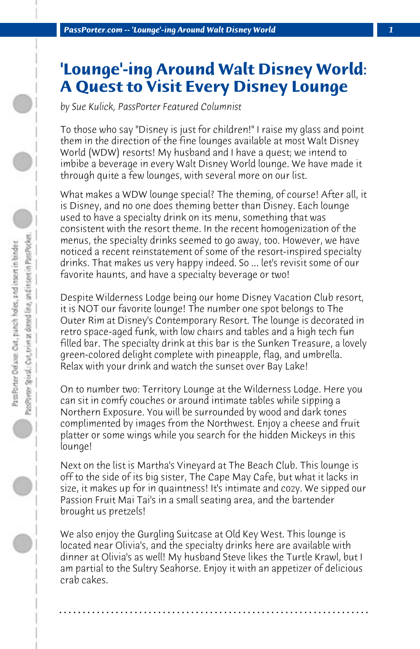## **'Lounge'-ing Around Walt Disney World: A Quest to Visit Every Disney Lounge**

*by Sue Kulick, PassPorter Featured Columnist*

To those who say "Disney is just for children!" I raise my glass and point them in the direction of the fine lounges available at most Walt Disney World (WDW) resorts! My husband and I have a quest; we intend to imbibe a beverage in every Walt Disney World lounge. We have made it through quite a few lounges, with several more on our list.

What makes a WDW lounge special? The theming, of course! After all, it is Disney, and no one does theming better than Disney. Each lounge used to have a specialty drink on its menu, something that was consistent with the resort theme. In the recent homogenization of the menus, the specialty drinks seemed to go away, too. However, we have noticed a recent reinstatement of some of the resort-inspired specialty drinks. That makes us very happy indeed. So ... let's revisit some of our favorite haunts, and have a specialty beverage or two!

Despite Wilderness Lodge being our home Disney Vacation Club resort, it is NOT our favorite lounge! The number one spot belongs to The Outer Rim at Disney's Contemporary Resort. The lounge is decorated in retro space-aged funk, with low chairs and tables and a high tech fun filled bar. The specialty drink at this bar is the Sunken Treasure, a lovely green-colored delight complete with pineapple, flag, and umbrella. Relax with your drink and watch the sunset over Bay Lake!

On to number two: Territory Lounge at the Wilderness Lodge. Here you can sit in comfy couches or around intimate tables while sipping a Northern Exposure. You will be surrounded by wood and dark tones complimented by images from the Northwest. Enjoy a cheese and fruit platter or some wings while you search for the hidden Mickeys in this lounge!

Next on the list is Martha's Vineyard at The Beach Club. This lounge is off to the side of its big sister, The Cape May Cafe, but what it lacks in size, it makes up for in quaintness! It's intimate and cozy. We sipped our Passion Fruit Mai Tai's in a small seating area, and the bartender brought us pretzels!

We also enjoy the Gurgling Suitcase at Old Key West. This lounge is located near Olivia's, and the specialty drinks here are available with dinner at Olivia's as well! My husband Steve likes the Turtle Krawl, but I am partial to the Sultry Seahorse. Enjoy it with an appetizer of delicious crab cakes.

**. . . . . . . . . . . . . . . . . . . . . . . . . . . . . . . . . . . . . . . . . . . . . . . . . . . . . . . . . . . . . . . . . .**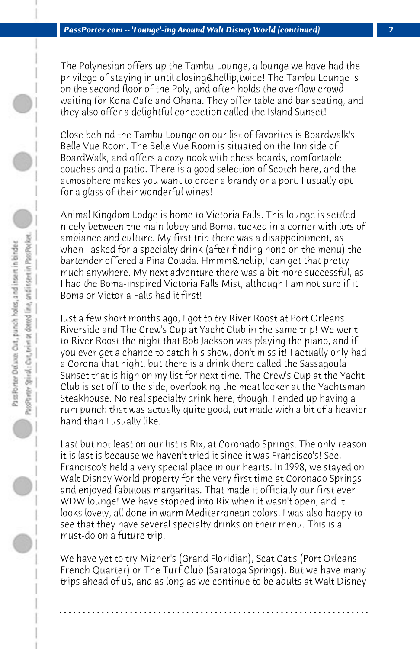The Polynesian offers up the Tambu Lounge, a lounge we have had the privilege of staying in until closing & hellip; twice! The Tambu Lounge is on the second floor of the Poly, and often holds the overflow crowd waiting for Kona Cafe and Ohana. They offer table and bar seating, and they also offer a delightful concoction called the Island Sunset!

Close behind the Tambu Lounge on our list of favorites is Boardwalk's Belle Vue Room. The Belle Vue Room is situated on the Inn side of BoardWalk, and offers a cozy nook with chess boards, comfortable couches and a patio. There is a good selection of Scotch here, and the atmosphere makes you want to order a brandy or a port. I usually opt for a glass of their wonderful wines!

Animal Kingdom Lodge is home to Victoria Falls. This lounge is settled nicely between the main lobby and Boma, tucked in a corner with lots of ambiance and culture. My first trip there was a disappointment, as when I asked for a specialty drink (after finding none on the menu) the bartender offered a Pina Colada. Hmmm… I can get that pretty much anywhere. My next adventure there was a bit more successful, as I had the Boma-inspired Victoria Falls Mist, although I am not sure if it Boma or Victoria Falls had it first!

Just a few short months ago, I got to try River Roost at Port Orleans Riverside and The Crew's Cup at Yacht Club in the same trip! We went to River Roost the night that Bob Jackson was playing the piano, and if you ever get a chance to catch his show, don't miss it! I actually only had a Corona that night, but there is a drink there called the Sassagoula Sunset that is high on my list for next time. The Crew's Cup at the Yacht Club is set off to the side, overlooking the meat locker at the Yachtsman Steakhouse. No real specialty drink here, though. I ended up having a rum punch that was actually quite good, but made with a bit of a heavier hand than I usually like.

Last but not least on our list is Rix, at Coronado Springs. The only reason it is last is because we haven't tried it since it was Francisco's! See, Francisco's held a very special place in our hearts. In 1998, we stayed on Walt Disney World property for the very first time at Coronado Springs and enjoyed fabulous margaritas. That made it officially our first ever WDW lounge! We have stopped into Rix when it wasn't open, and it looks lovely, all done in warm Mediterranean colors. I was also happy to see that they have several specialty drinks on their menu. This is a must-do on a future trip.

We have yet to try Mizner's (Grand Floridian), Scat Cat's (Port Orleans French Quarter) or The Turf Club (Saratoga Springs). But we have many trips ahead of us, and as long as we continue to be adults at Walt Disney

**. . . . . . . . . . . . . . . . . . . . . . . . . . . . . . . . . . . . . . . . . . . . . . . . . . . . . . . . . . . . . . . . . .**